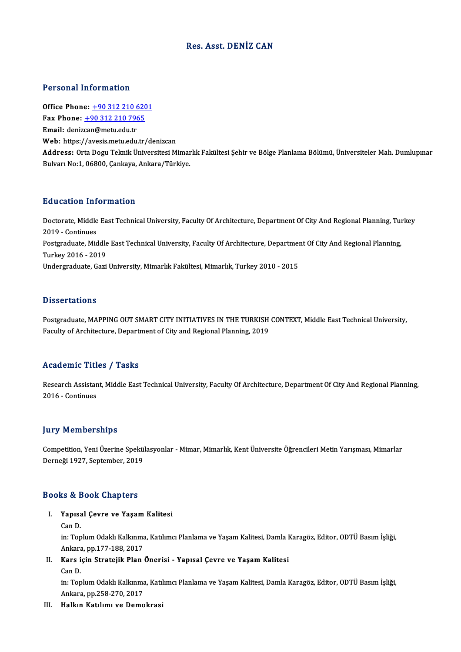## Res. Asst. DENİZ CAN

## Personal Information

**Personal Information<br>Office Phone: +90 312 210 6201<br>Fax Phone: +90 312 210 7965** Fax Phone: <u>+90 312 210 620</u><br>Fax Phone: <u>+90 312 210 7965</u><br>Fmail: denizes @metu edu tr Office Phone: <u>+90 312 210 6</u><br>Fax Phone: <u>+90 312 210 796</u><br>Email: deniz[can@metu.edu.tr](tel:+90 312 210 7965) Fax Phone:  $\pm$ 90 312 210 7965<br>Email: denizcan@metu.edu.tr<br>Web: https://avesis.metu.edu.tr/denizcan Address: Orta Dogu Teknik Üniversitesi Mimarlık Fakültesi Şehir ve Bölge Planlama Bölümü, Üniversiteler Mah. Dumlupınar Bulvarı No:1, 06800, Çankaya, Ankara/Türkiye.

## Education Information

**Education Information**<br>Doctorate, Middle East Technical University, Faculty Of Architecture, Department Of City And Regional Planning, Turkey<br>2019 - Continues 2019 -Continues<br>2019 - Continues<br>Postareduate Mid Doctorate, Middle East Technical University, Faculty Of Architecture, Department Of City And Regional Planning, Tui<br>2019 - Continues<br>Postgraduate, Middle East Technical University, Faculty Of Architecture, Department Of Ci 2019 - Continues<br>Postgraduate, Middle East Technical University, Faculty Of Architecture, Department Of City And Regional Planning,<br>Turkey 2016 - 2019 Undergraduate, Gazi University, Mimarlık Fakültesi, Mimarlık, Turkey 2010 - 2015

## **Dissertations**

Dissertations<br>Postgraduate, MAPPING OUT SMART CITY INITIATIVES IN THE TURKISH CONTEXT, Middle East Technical University,<br>Faculty of Architecture, Department of City and Pegional Planning, 2019 Bassea Cacrons<br>Postgraduate, MAPPING OUT SMART CITY INITIATIVES IN THE TURKISH<br>Faculty of Architecture, Department of City and Regional Planning, 2019 Faculty of Architecture, Department of City and Regional Planning, 2019<br>Academic Titles / Tasks

Academic Titles / Tasks<br>Research Assistant, Middle East Technical University, Faculty Of Architecture, Department Of City And Regional Planning,<br>2016 - Continues Extra dentre della<br>Research Assistan<br>2016 - Continues

## 2016 - Continues<br>Jury Memberships

Competition, Yeni Üzerine Spekülasyonlar - Mimar, Mimarlık, Kent Üniversite Öğrencileri Metin Yarışması, Mimarlar Derneği 1927, September, 2019

### Books&Book Chapters

- ooks & Book Chapters<br>I. Yapısal Çevre ve Yaşam Kalitesi<br>Can D rs & 2<br>Yapısa<br>Can D.
	-

Yapısal Çevre ve Yaşam Kalitesi<br>Can D.<br>in: Toplum Odaklı Kalkınma, Katılımcı Planlama ve Yaşam Kalitesi, Damla Karagöz, Editor, ODTÜ Basım İşliği,<br>Ankara np.177.188.2017 Can D.<br>in: Toplum Odaklı Kalkınma<br>Ankara, pp.177-188, 2017<br>Kons isin Stratejil: Plan in: Toplum Odaklı Kalkınma, Katılımcı Planlama ve Yaşam Kalitesi, Damla I<br>Ankara, pp.177-188, 2017<br>II. Kars için Stratejik Plan Önerisi - Yapısal Çevre ve Yaşam Kalitesi<br>Can D

Ankara<br>**Kars i**<br>Can D.

Kars için Stratejik Plan Önerisi - Yapısal Çevre ve Yaşam Kalitesi<br>Can D.<br>in: Toplum Odaklı Kalkınma, Katılımcı Planlama ve Yaşam Kalitesi, Damla Karagöz, Editor, ODTÜ Basım İşliği,<br>Ankara, np.258.270.2017 Can D.<br>in: Toplum Odaklı Kalkınma<br>Ankara, pp.258-270, 2017<br>Halkın Katılımı ve Deme

Ankara, pp.258-270, 2017<br>III. Halkın Katılımı ve Demokrasi